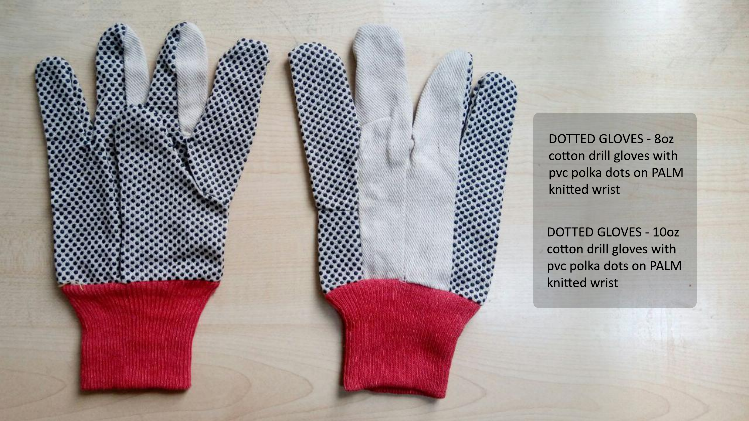

DOTTED GLOVES - 8oz cotton drill gloves with pvc polka dots on PALM knitted wrist

DOTTED GLOVES - 10oz cotton drill gloves with pvc polka dots on PALM knitted wrist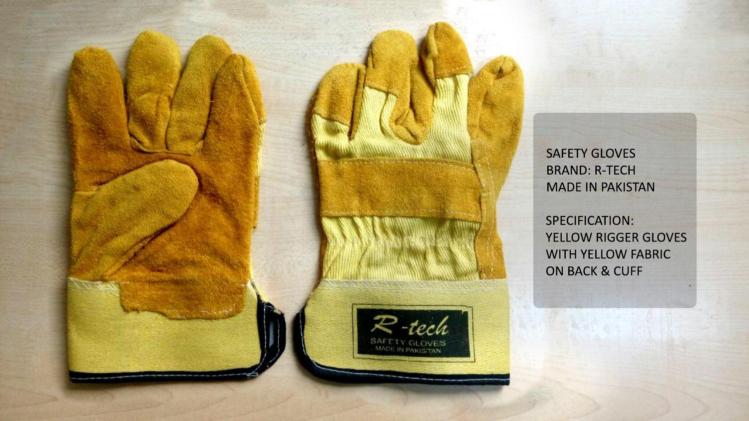SPECIFICATION: YELLOW RIGGER GLOVES WITH YELLOW FABRIC ON BACK & CUFF



SAFETY GLOVES BRAND: R-TECH MADE IN PAKISTAN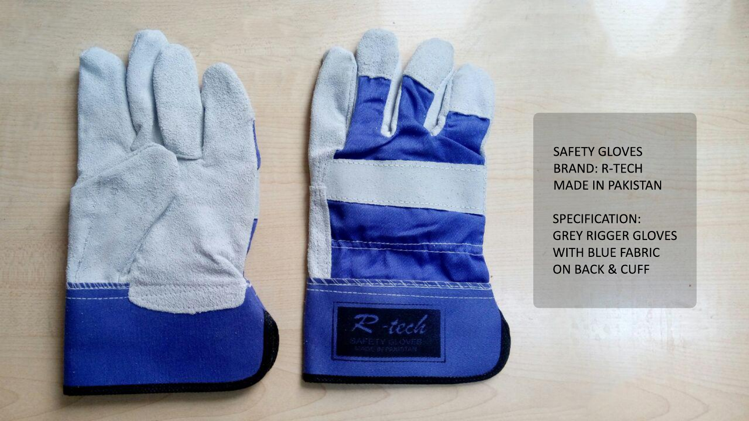SPECIFICATION: GREY RIGGER GLOVES WITH BLUE FABRIC ON BACK & CUFF



SAFETY GLOVES BRAND: R-TECH MADE IN PAKISTAN